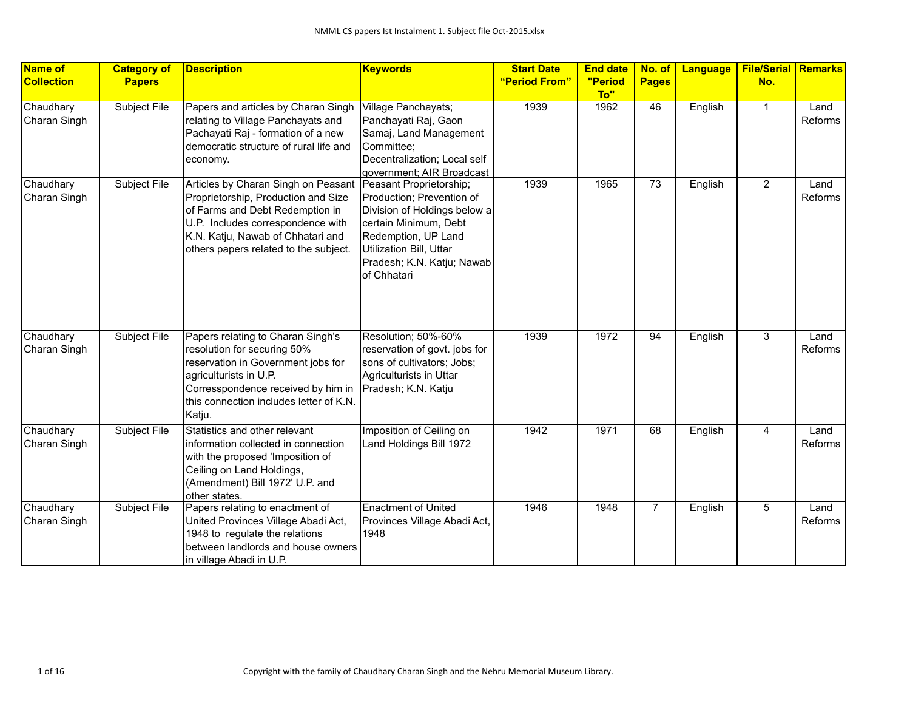| Name of<br><b>Collection</b> | <b>Category of</b><br><b>Papers</b> | <b>Description</b>                                                                                                                                                                                                               | <b>Keywords</b>                                                                                                                                                                                              | <b>Start Date</b><br>"Period From" | <b>End date</b><br>"Period | No. of<br><b>Pages</b> | Language | <b>File/Serial Remarks</b><br>No. |                 |
|------------------------------|-------------------------------------|----------------------------------------------------------------------------------------------------------------------------------------------------------------------------------------------------------------------------------|--------------------------------------------------------------------------------------------------------------------------------------------------------------------------------------------------------------|------------------------------------|----------------------------|------------------------|----------|-----------------------------------|-----------------|
|                              |                                     |                                                                                                                                                                                                                                  |                                                                                                                                                                                                              |                                    | To"                        |                        |          |                                   |                 |
| Chaudhary<br>Charan Singh    | Subject File                        | Papers and articles by Charan Singh<br>relating to Village Panchayats and<br>Pachayati Raj - formation of a new<br>democratic structure of rural life and<br>economy.                                                            | Village Panchayats;<br>Panchayati Raj, Gaon<br>Samaj, Land Management<br>Committee;<br>Decentralization; Local self<br>government; AIR Broadcast                                                             | 1939                               | 1962                       | 46                     | English  | $\mathbf{1}$                      | Land<br>Reforms |
| Chaudhary<br>Charan Singh    | Subject File                        | Articles by Charan Singh on Peasant<br>Proprietorship, Production and Size<br>of Farms and Debt Redemption in<br>U.P. Includes correspondence with<br>K.N. Katju, Nawab of Chhatari and<br>others papers related to the subject. | Peasant Proprietorship;<br>Production; Prevention of<br>Division of Holdings below a<br>certain Minimum, Debt<br>Redemption, UP Land<br>Utilization Bill, Uttar<br>Pradesh; K.N. Katju; Nawab<br>of Chhatari | 1939                               | 1965                       | 73                     | English  | $\overline{2}$                    | Land<br>Reforms |
| Chaudhary<br>Charan Singh    | Subject File                        | Papers relating to Charan Singh's<br>resolution for securing 50%<br>reservation in Government jobs for<br>agriculturists in U.P.<br>Corresspondence received by him in<br>this connection includes letter of K.N.<br>Katju.      | Resolution; 50%-60%<br>reservation of govt. jobs for<br>sons of cultivators; Jobs;<br>Agriculturists in Uttar<br>Pradesh; K.N. Katju                                                                         | 1939                               | 1972                       | 94                     | English  | $\overline{3}$                    | Land<br>Reforms |
| Chaudhary<br>Charan Singh    | Subject File                        | Statistics and other relevant<br>information collected in connection<br>with the proposed 'Imposition of<br>Ceiling on Land Holdings,<br>(Amendment) Bill 1972' U.P. and<br>other states.                                        | Imposition of Ceiling on<br>Land Holdings Bill 1972                                                                                                                                                          | 1942                               | 1971                       | 68                     | English  | 4                                 | Land<br>Reforms |
| Chaudhary<br>Charan Singh    | Subject File                        | Papers relating to enactment of<br>United Provinces Village Abadi Act,<br>1948 to regulate the relations<br>between landlords and house owners<br>in village Abadi in U.P.                                                       | <b>Enactment of United</b><br>Provinces Village Abadi Act,<br>1948                                                                                                                                           | 1946                               | 1948                       | $\overline{7}$         | English  | 5                                 | Land<br>Reforms |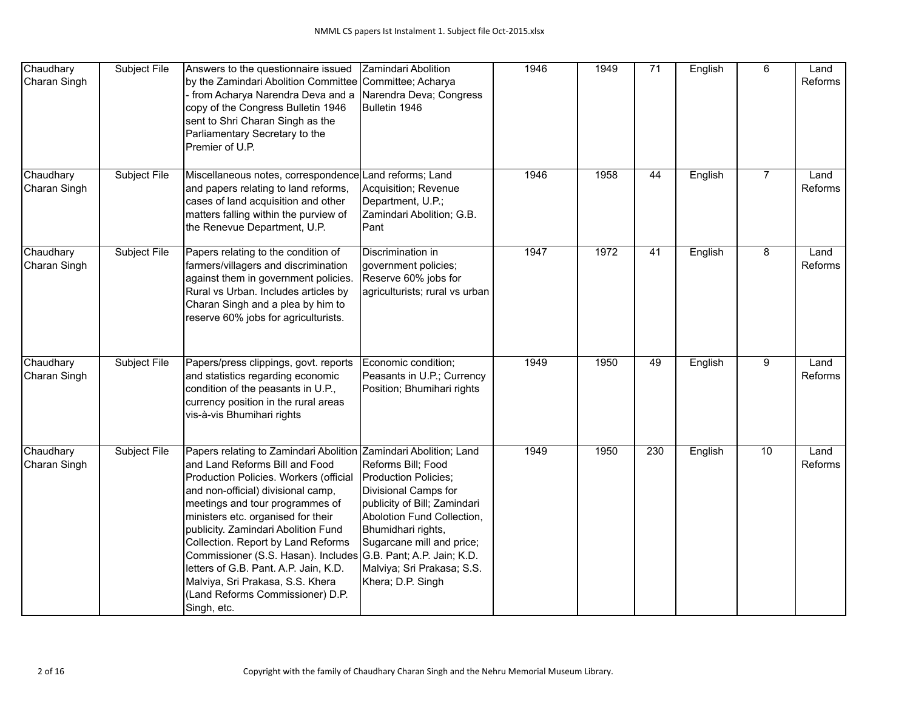| Chaudhary<br>Charan Singh | Subject File | Answers to the questionnaire issued<br>by the Zamindari Abolition Committee Committee; Acharya<br>- from Acharya Narendra Deva and a<br>copy of the Congress Bulletin 1946<br>sent to Shri Charan Singh as the<br>Parliamentary Secretary to the<br>Premier of U.P.                                                                                                                                                                                                                                                                        | Zamindari Abolition<br>Narendra Deva; Congress<br>Bulletin 1946                                                                                                                                                                        | 1946              | 1949 | $\overline{71}$ | English | 6              | Land<br>Reforms |
|---------------------------|--------------|--------------------------------------------------------------------------------------------------------------------------------------------------------------------------------------------------------------------------------------------------------------------------------------------------------------------------------------------------------------------------------------------------------------------------------------------------------------------------------------------------------------------------------------------|----------------------------------------------------------------------------------------------------------------------------------------------------------------------------------------------------------------------------------------|-------------------|------|-----------------|---------|----------------|-----------------|
| Chaudhary<br>Charan Singh | Subject File | Miscellaneous notes, correspondence Land reforms; Land<br>and papers relating to land reforms,<br>cases of land acquisition and other<br>matters falling within the purview of<br>the Renevue Department, U.P.                                                                                                                                                                                                                                                                                                                             | Acquisition; Revenue<br>Department, U.P.;<br>Zamindari Abolition; G.B.<br>Pant                                                                                                                                                         | 1946              | 1958 | 44              | English | $\overline{7}$ | Land<br>Reforms |
| Chaudhary<br>Charan Singh | Subject File | Papers relating to the condition of<br>farmers/villagers and discrimination<br>against them in government policies.<br>Rural vs Urban. Includes articles by<br>Charan Singh and a plea by him to<br>reserve 60% jobs for agriculturists.                                                                                                                                                                                                                                                                                                   | Discrimination in<br>government policies;<br>Reserve 60% jobs for<br>agriculturists; rural vs urban                                                                                                                                    | $\overline{1947}$ | 1972 | 41              | English | 8              | Land<br>Reforms |
| Chaudhary<br>Charan Singh | Subject File | Papers/press clippings, govt. reports<br>and statistics regarding economic<br>condition of the peasants in U.P.,<br>currency position in the rural areas<br>vis-à-vis Bhumihari rights                                                                                                                                                                                                                                                                                                                                                     | Economic condition;<br>Peasants in U.P.; Currency<br>Position; Bhumihari rights                                                                                                                                                        | 1949              | 1950 | 49              | English | $\overline{9}$ | Land<br>Reforms |
| Chaudhary<br>Charan Singh | Subject File | Papers relating to Zamindari Abolition Zamindari Abolition; Land<br>and Land Reforms Bill and Food<br>Production Policies. Workers (official<br>and non-official) divisional camp,<br>meetings and tour programmes of<br>ministers etc. organised for their<br>publicity. Zamindari Abolition Fund<br>Collection. Report by Land Reforms<br>Commissioner (S.S. Hasan). Includes G.B. Pant; A.P. Jain; K.D.<br>letters of G.B. Pant. A.P. Jain, K.D.<br>Malviya, Sri Prakasa, S.S. Khera<br>(Land Reforms Commissioner) D.P.<br>Singh, etc. | Reforms Bill; Food<br>Production Policies;<br>Divisional Camps for<br>publicity of Bill; Zamindari<br>Abolotion Fund Collection,<br>Bhumidhari rights,<br>Sugarcane mill and price;<br>Malviya; Sri Prakasa; S.S.<br>Khera; D.P. Singh | 1949              | 1950 | 230             | English | 10             | Land<br>Reforms |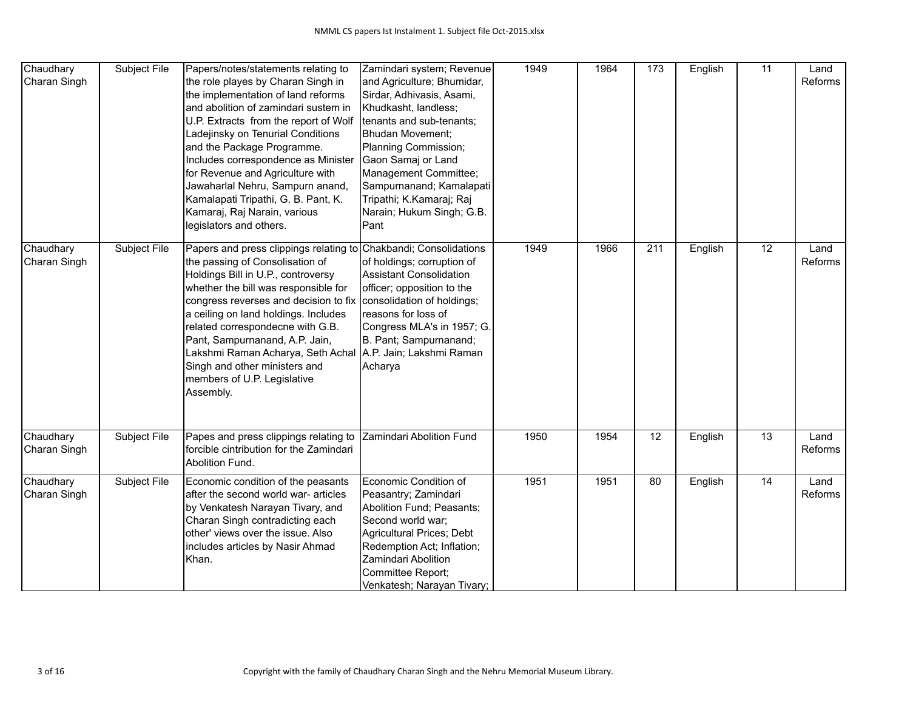| Chaudhary<br>Charan Singh | Subject File        | Papers/notes/statements relating to<br>the role playes by Charan Singh in<br>the implementation of land reforms<br>and abolition of zamindari sustem in<br>U.P. Extracts from the report of Wolf<br>Ladejinsky on Tenurial Conditions<br>and the Package Programme.<br>Includes correspondence as Minister<br>for Revenue and Agriculture with<br>Jawaharlal Nehru, Sampurn anand,<br>Kamalapati Tripathi, G. B. Pant, K.<br>Kamaraj, Raj Narain, various<br>legislators and others. | Zamindari system; Revenue<br>and Agriculture; Bhumidar,<br>Sirdar, Adhivasis, Asami,<br>Khudkasht, landless;<br>tenants and sub-tenants;<br><b>Bhudan Movement;</b><br>Planning Commission;<br>Gaon Samaj or Land<br>Management Committee;<br>Sampurnanand; Kamalapati<br>Tripathi; K.Kamaraj; Raj<br>Narain; Hukum Singh; G.B.<br>Pant | 1949 | 1964 | 173 | English | 11              | Land<br>Reforms |
|---------------------------|---------------------|--------------------------------------------------------------------------------------------------------------------------------------------------------------------------------------------------------------------------------------------------------------------------------------------------------------------------------------------------------------------------------------------------------------------------------------------------------------------------------------|-----------------------------------------------------------------------------------------------------------------------------------------------------------------------------------------------------------------------------------------------------------------------------------------------------------------------------------------|------|------|-----|---------|-----------------|-----------------|
| Chaudhary<br>Charan Singh | Subject File        | Papers and press clippings relating to Chakbandi; Consolidations<br>the passing of Consolisation of<br>Holdings Bill in U.P., controversy<br>whether the bill was responsible for<br>congress reverses and decision to fix<br>a ceiling on land holdings. Includes<br>related correspondecne with G.B.<br>Pant, Sampurnanand, A.P. Jain,<br>Lakshmi Raman Acharya, Seth Achal<br>Singh and other ministers and<br>members of U.P. Legislative<br>Assembly.                           | of holdings; corruption of<br><b>Assistant Consolidation</b><br>officer; opposition to the<br>consolidation of holdings;<br>reasons for loss of<br>Congress MLA's in 1957; G.<br>B. Pant; Sampurnanand;<br>A.P. Jain; Lakshmi Raman<br>Acharya                                                                                          | 1949 | 1966 | 211 | English | $\overline{12}$ | Land<br>Reforms |
| Chaudhary<br>Charan Singh | Subject File        | Papes and press clippings relating to<br>forcible cintribution for the Zamindari<br>Abolition Fund.                                                                                                                                                                                                                                                                                                                                                                                  | Zamindari Abolition Fund                                                                                                                                                                                                                                                                                                                | 1950 | 1954 | 12  | English | $\overline{13}$ | Land<br>Reforms |
| Chaudhary<br>Charan Singh | <b>Subject File</b> | Economic condition of the peasants<br>after the second world war- articles<br>by Venkatesh Narayan Tivary, and<br>Charan Singh contradicting each<br>other' views over the issue. Also<br>includes articles by Nasir Ahmad<br>Khan.                                                                                                                                                                                                                                                  | Economic Condition of<br>Peasantry; Zamindari<br>Abolition Fund; Peasants;<br>Second world war;<br>Agricultural Prices; Debt<br>Redemption Act; Inflation;<br>Zamindari Abolition<br>Committee Report;<br>Venkatesh; Narayan Tivary;                                                                                                    | 1951 | 1951 | 80  | English | 14              | Land<br>Reforms |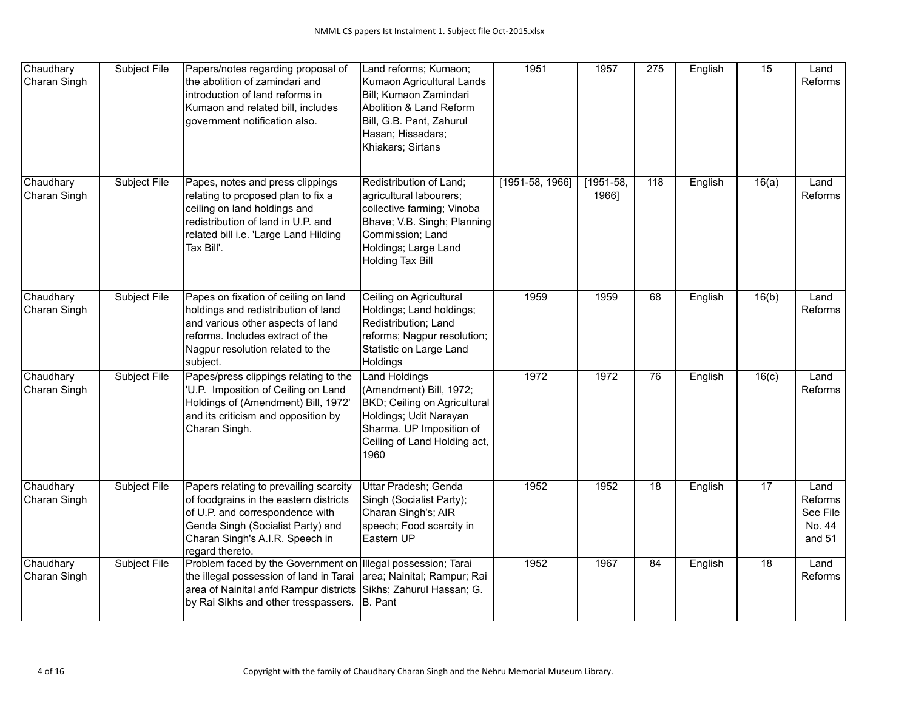| Chaudhary<br>Charan Singh | Subject File | Papers/notes regarding proposal of<br>the abolition of zamindari and<br>introduction of land reforms in<br>Kumaon and related bill, includes<br>government notification also.                                  | Land reforms; Kumaon;<br>Kumaon Agricultural Lands<br>Bill; Kumaon Zamindari<br>Abolition & Land Reform<br>Bill, G.B. Pant, Zahurul<br>Hasan; Hissadars;<br>Khiakars; Sirtans          | 1951              | 1957                 | $\overline{275}$ | English | 15              | Land<br>Reforms                                 |
|---------------------------|--------------|----------------------------------------------------------------------------------------------------------------------------------------------------------------------------------------------------------------|----------------------------------------------------------------------------------------------------------------------------------------------------------------------------------------|-------------------|----------------------|------------------|---------|-----------------|-------------------------------------------------|
| Chaudhary<br>Charan Singh | Subject File | Papes, notes and press clippings<br>relating to proposed plan to fix a<br>ceiling on land holdings and<br>redistribution of land in U.P. and<br>related bill i.e. 'Large Land Hilding<br>Tax Bill'.            | Redistribution of Land;<br>agricultural labourers;<br>collective farming; Vinoba<br>Bhave; V.B. Singh; Planning<br>Commission; Land<br>Holdings; Large Land<br><b>Holding Tax Bill</b> | $[1951-58, 1966]$ | $[1951-58,$<br>1966] | 118              | English | 16(a)           | Land<br>Reforms                                 |
| Chaudhary<br>Charan Singh | Subject File | Papes on fixation of ceiling on land<br>holdings and redistribution of land<br>and various other aspects of land<br>reforms. Includes extract of the<br>Nagpur resolution related to the<br>subject.           | Ceiling on Agricultural<br>Holdings; Land holdings;<br>Redistribution; Land<br>reforms; Nagpur resolution;<br>Statistic on Large Land<br>Holdings                                      | 1959              | 1959                 | 68               | English | 16(b)           | Land<br>Reforms                                 |
| Chaudhary<br>Charan Singh | Subject File | Papes/press clippings relating to the<br>'U.P. Imposition of Ceiling on Land<br>Holdings of (Amendment) Bill, 1972'<br>and its criticism and opposition by<br>Charan Singh.                                    | <b>Land Holdings</b><br>(Amendment) Bill, 1972;<br>BKD; Ceiling on Agricultural<br>Holdings; Udit Narayan<br>Sharma. UP Imposition of<br>Ceiling of Land Holding act,<br>1960          | 1972              | 1972                 | 76               | English | 16(c)           | Land<br>Reforms                                 |
| Chaudhary<br>Charan Singh | Subject File | Papers relating to prevailing scarcity<br>of foodgrains in the eastern districts<br>of U.P. and correspondence with<br>Genda Singh (Socialist Party) and<br>Charan Singh's A.I.R. Speech in<br>regard thereto. | Uttar Pradesh; Genda<br>Singh (Socialist Party);<br>Charan Singh's; AIR<br>speech; Food scarcity in<br>Eastern UP                                                                      | 1952              | 1952                 | $\overline{18}$  | English | $\overline{17}$ | Land<br>Reforms<br>See File<br>No. 44<br>and 51 |
| Chaudhary<br>Charan Singh | Subject File | Problem faced by the Government on<br>the illegal possession of land in Tarai<br>area of Nainital anfd Rampur districts<br>by Rai Sikhs and other tresspassers.                                                | Illegal possession; Tarai<br>area; Nainital; Rampur; Rai<br>Sikhs; Zahurul Hassan; G.<br>B. Pant                                                                                       | 1952              | 1967                 | 84               | English | 18              | Land<br>Reforms                                 |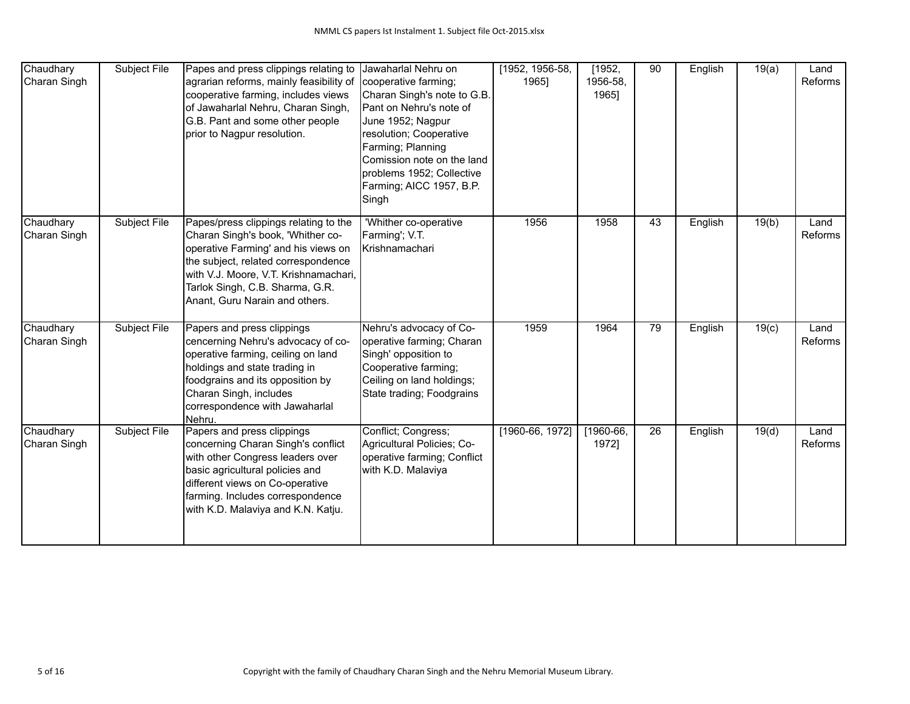| Chaudhary<br>Charan Singh | Subject File        | Papes and press clippings relating to<br>agrarian reforms, mainly feasibility of<br>cooperative farming, includes views<br>of Jawaharlal Nehru, Charan Singh,<br>G.B. Pant and some other people<br>prior to Nagpur resolution.                                        | Jawaharlal Nehru on<br>cooperative farming;<br>Charan Singh's note to G.B.<br>Pant on Nehru's note of<br>June 1952; Nagpur<br>resolution; Cooperative<br>Farming; Planning<br>Comission note on the land<br>problems 1952; Collective<br>Farming; AICC 1957, B.P.<br>Singh | [1952, 1956-58,<br>1965] | [1952,<br>1956-58,<br>1965] | 90 | English | 19(a) | Land<br>Reforms |
|---------------------------|---------------------|------------------------------------------------------------------------------------------------------------------------------------------------------------------------------------------------------------------------------------------------------------------------|----------------------------------------------------------------------------------------------------------------------------------------------------------------------------------------------------------------------------------------------------------------------------|--------------------------|-----------------------------|----|---------|-------|-----------------|
| Chaudhary<br>Charan Singh | Subject File        | Papes/press clippings relating to the<br>Charan Singh's book, 'Whither co-<br>operative Farming' and his views on<br>the subject, related correspondence<br>with V.J. Moore, V.T. Krishnamachari,<br>Tarlok Singh, C.B. Sharma, G.R.<br>Anant, Guru Narain and others. | 'Whither co-operative<br>Farming'; V.T.<br>Krishnamachari                                                                                                                                                                                                                  | 1956                     | 1958                        | 43 | English | 19(b) | Land<br>Reforms |
| Chaudhary<br>Charan Singh | <b>Subject File</b> | Papers and press clippings<br>cencerning Nehru's advocacy of co-<br>operative farming, ceiling on land<br>holdings and state trading in<br>foodgrains and its opposition by<br>Charan Singh, includes<br>correspondence with Jawaharlal<br>Nehru.                      | Nehru's advocacy of Co-<br>operative farming; Charan<br>Singh' opposition to<br>Cooperative farming;<br>Ceiling on land holdings;<br>State trading; Foodgrains                                                                                                             | 1959                     | 1964                        | 79 | English | 19(c) | Land<br>Reforms |
| Chaudhary<br>Charan Singh | Subject File        | Papers and press clippings<br>concerning Charan Singh's conflict<br>with other Congress leaders over<br>basic agricultural policies and<br>different views on Co-operative<br>farming. Includes correspondence<br>with K.D. Malaviya and K.N. Katju.                   | Conflict; Congress;<br>Agricultural Policies; Co-<br>operative farming; Conflict<br>with K.D. Malaviya                                                                                                                                                                     | [1960-66, 1972]          | $[1960-66]$<br>1972]        | 26 | English | 19(d) | Land<br>Reforms |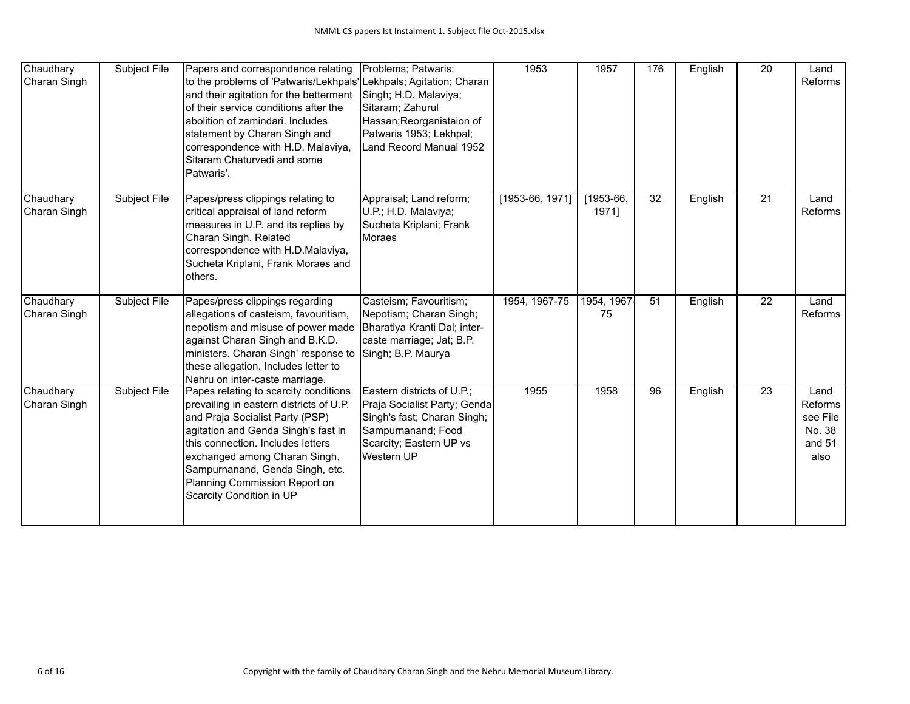| Chaudhary<br>Charan Singh | Subject File | Papers and correspondence relating<br>to the problems of 'Patwaris/Lekhpals' Lekhpals; Agitation; Charan<br>and their agitation for the betterment<br>of their service conditions after the<br>abolition of zamindari. Includes<br>statement by Charan Singh and<br>correspondence with H.D. Malaviya,<br>Sitaram Chaturvedi and some<br>Patwaris'. | Problems; Patwaris;<br>Singh; H.D. Malaviya;<br>Sitaram; Zahurul<br>Hassan; Reorganistaion of<br>Patwaris 1953; Lekhpal;<br>Land Record Manual 1952      | 1953            | 1957                 | 176 | English | 20              | Land<br>Reforms                                         |
|---------------------------|--------------|-----------------------------------------------------------------------------------------------------------------------------------------------------------------------------------------------------------------------------------------------------------------------------------------------------------------------------------------------------|----------------------------------------------------------------------------------------------------------------------------------------------------------|-----------------|----------------------|-----|---------|-----------------|---------------------------------------------------------|
| Chaudhary<br>Charan Singh | Subject File | Papes/press clippings relating to<br>critical appraisal of land reform<br>measures in U.P. and its replies by<br>Charan Singh. Related<br>correspondence with H.D.Malaviya,<br>Sucheta Kriplani, Frank Moraes and<br>others.                                                                                                                        | Appraisal; Land reform;<br>U.P.; H.D. Malaviya;<br>Sucheta Kriplani; Frank<br><b>IMoraes</b>                                                             | [1953-66, 1971] | $[1953-66,$<br>1971] | 32  | English | $\overline{21}$ | Land<br>Reforms                                         |
| Chaudhary<br>Charan Singh | Subject File | Papes/press clippings regarding<br>allegations of casteism, favouritism,<br>nepotism and misuse of power made<br>against Charan Singh and B.K.D.<br>ministers. Charan Singh' response to<br>these allegation. Includes letter to<br>Nehru on inter-caste marriage.                                                                                  | Casteism; Favouritism;<br>Nepotism; Charan Singh;<br>Bharatiya Kranti Dal; inter-<br>caste marriage; Jat; B.P.<br>Singh; B.P. Maurya                     | 1954, 1967-75   | 1954, 1967<br>75     | 51  | English | 22              | Land<br>Reforms                                         |
| Chaudhary<br>Charan Singh | Subject File | Papes relating to scarcity conditions<br>prevailing in eastern districts of U.P.<br>and Praja Socialist Party (PSP)<br>agitation and Genda Singh's fast in<br>this connection. Includes letters<br>exchanged among Charan Singh,<br>Sampurnanand, Genda Singh, etc.<br>Planning Commission Report on<br>Scarcity Condition in UP                    | Eastern districts of U.P.;<br>Praja Socialist Party; Genda<br>Singh's fast; Charan Singh;<br>Sampurnanand; Food<br>Scarcity; Eastern UP vs<br>Western UP | 1955            | 1958                 | 96  | English | 23              | Land<br>Reforms<br>see File<br>No. 38<br>and 51<br>also |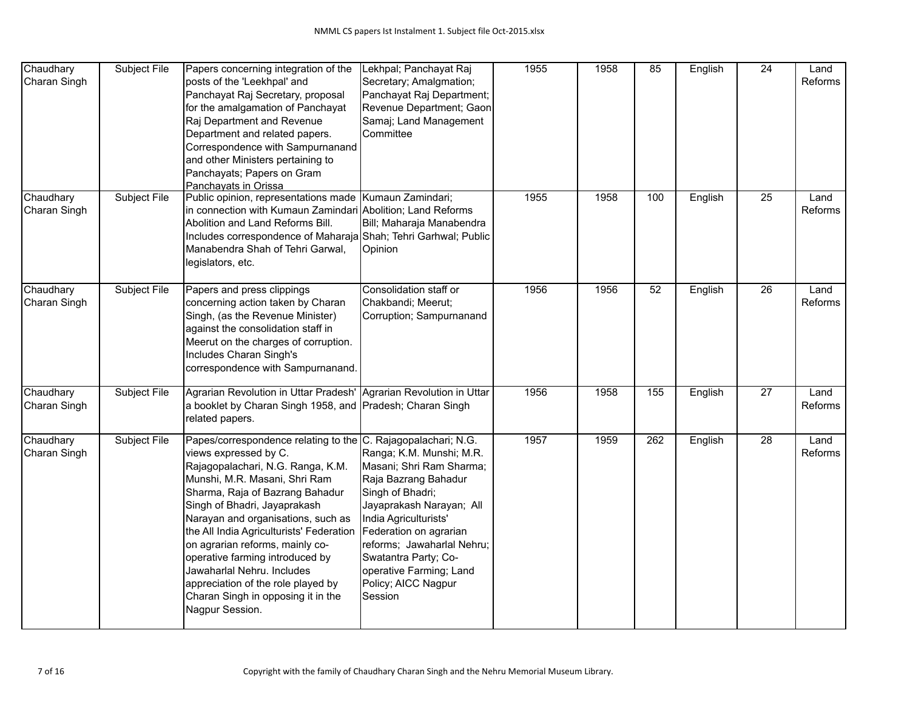| Chaudhary<br>Charan Singh | Subject File        | Papers concerning integration of the<br>posts of the 'Leekhpal' and<br>Panchayat Raj Secretary, proposal<br>for the amalgamation of Panchayat<br>Raj Department and Revenue<br>Department and related papers.<br>Correspondence with Sampurnanand<br>and other Ministers pertaining to<br>Panchayats; Papers on Gram<br>Panchayats in Orissa                                                                                                                                                                         | Lekhpal; Panchayat Raj<br>Secretary; Amalgmation;<br>Panchayat Raj Department;<br>Revenue Department; Gaon<br>Samaj; Land Management<br>Committee                                                                                                                                                  | 1955 | 1958 | 85  | English | $\overline{24}$ | Land<br>Reforms |
|---------------------------|---------------------|----------------------------------------------------------------------------------------------------------------------------------------------------------------------------------------------------------------------------------------------------------------------------------------------------------------------------------------------------------------------------------------------------------------------------------------------------------------------------------------------------------------------|----------------------------------------------------------------------------------------------------------------------------------------------------------------------------------------------------------------------------------------------------------------------------------------------------|------|------|-----|---------|-----------------|-----------------|
| Chaudhary<br>Charan Singh | <b>Subject File</b> | Public opinion, representations made   Kumaun Zamindari;<br>in connection with Kumaun Zamindari Abolition; Land Reforms<br>Abolition and Land Reforms Bill.<br>Includes correspondence of Maharaja Shah; Tehri Garhwal; Public<br>Manabendra Shah of Tehri Garwal,<br>legislators, etc.                                                                                                                                                                                                                              | Bill; Maharaja Manabendra<br>Opinion                                                                                                                                                                                                                                                               | 1955 | 1958 | 100 | English | $\overline{25}$ | Land<br>Reforms |
| Chaudhary<br>Charan Singh | Subject File        | Papers and press clippings<br>concerning action taken by Charan<br>Singh, (as the Revenue Minister)<br>against the consolidation staff in<br>Meerut on the charges of corruption.<br>Includes Charan Singh's<br>correspondence with Sampurnanand.                                                                                                                                                                                                                                                                    | Consolidation staff or<br>Chakbandi; Meerut;<br>Corruption; Sampurnanand                                                                                                                                                                                                                           | 1956 | 1956 | 52  | English | $\overline{26}$ | Land<br>Reforms |
| Chaudhary<br>Charan Singh | Subject File        | Agrarian Revolution in Uttar Pradesh' Agrarian Revolution in Uttar<br>a booklet by Charan Singh 1958, and Pradesh; Charan Singh<br>related papers.                                                                                                                                                                                                                                                                                                                                                                   |                                                                                                                                                                                                                                                                                                    | 1956 | 1958 | 155 | English | $\overline{27}$ | Land<br>Reforms |
| Chaudhary<br>Charan Singh | Subject File        | Papes/correspondence relating to the C. Rajagopalachari; N.G.<br>views expressed by C.<br>Rajagopalachari, N.G. Ranga, K.M.<br>Munshi, M.R. Masani, Shri Ram<br>Sharma, Raja of Bazrang Bahadur<br>Singh of Bhadri, Jayaprakash<br>Narayan and organisations, such as<br>the All India Agriculturists' Federation<br>on agrarian reforms, mainly co-<br>operative farming introduced by<br>Jawaharlal Nehru. Includes<br>appreciation of the role played by<br>Charan Singh in opposing it in the<br>Nagpur Session. | Ranga; K.M. Munshi; M.R.<br>Masani; Shri Ram Sharma;<br>Raja Bazrang Bahadur<br>Singh of Bhadri;<br>Jayaprakash Narayan; All<br>India Agriculturists'<br>Federation on agrarian<br>reforms; Jawaharlal Nehru;<br>Swatantra Party; Co-<br>operative Farming; Land<br>Policy; AICC Nagpur<br>Session | 1957 | 1959 | 262 | English | $\overline{28}$ | Land<br>Reforms |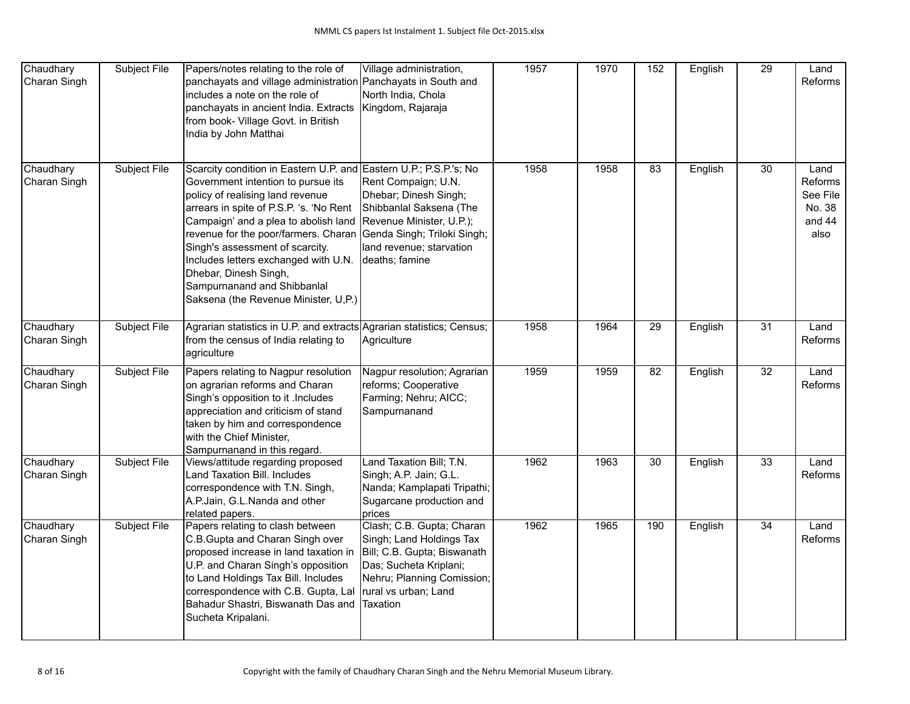| Chaudhary<br>Charan Singh | Subject File | Papers/notes relating to the role of<br>panchayats and village administration Panchayats in South and<br>includes a note on the role of<br>panchayats in ancient India. Extracts<br>from book- Village Govt. in British<br>India by John Matthai                                                                                                                                                                                                  | Village administration,<br>North India, Chola<br>Kingdom, Rajaraja                                                                                                               | 1957 | 1970 | 152             | English | $\overline{29}$ | Land<br><b>Reforms</b>                                  |
|---------------------------|--------------|---------------------------------------------------------------------------------------------------------------------------------------------------------------------------------------------------------------------------------------------------------------------------------------------------------------------------------------------------------------------------------------------------------------------------------------------------|----------------------------------------------------------------------------------------------------------------------------------------------------------------------------------|------|------|-----------------|---------|-----------------|---------------------------------------------------------|
| Chaudhary<br>Charan Singh | Subject File | Scarcity condition in Eastern U.P. and Eastern U.P.; P.S.P.'s; No<br>Government intention to pursue its<br>policy of realising land revenue<br>arrears in spite of P.S.P. 's. 'No Rent<br>Campaign' and a plea to abolish land<br>revenue for the poor/farmers. Charan<br>Singh's assessment of scarcity.<br>Includes letters exchanged with U.N.<br>Dhebar, Dinesh Singh,<br>Sampurnanand and Shibbanlal<br>Saksena (the Revenue Minister, U,P.) | Rent Compaign; U.N.<br>Dhebar; Dinesh Singh;<br>Shibbanlal Saksena (The<br>Revenue Minister, U.P.);<br>Genda Singh; Triloki Singh;<br>land revenue; starvation<br>deaths; famine | 1958 | 1958 | 83              | English | 30              | Land<br>Reforms<br>See File<br>No. 38<br>and 44<br>also |
| Chaudhary<br>Charan Singh | Subject File | Agrarian statistics in U.P. and extracts Agrarian statistics; Census;<br>from the census of India relating to<br>agriculture                                                                                                                                                                                                                                                                                                                      | Agriculture                                                                                                                                                                      | 1958 | 1964 | 29              | English | $\overline{31}$ | Land<br>Reforms                                         |
| Chaudhary<br>Charan Singh | Subject File | Papers relating to Nagpur resolution<br>on agrarian reforms and Charan<br>Singh's opposition to it . Includes<br>appreciation and criticism of stand<br>taken by him and correspondence<br>with the Chief Minister,<br>Sampurnanand in this regard.                                                                                                                                                                                               | Nagpur resolution; Agrarian<br>reforms; Cooperative<br>Farming; Nehru; AICC;<br>Sampurnanand                                                                                     | 1959 | 1959 | $\overline{82}$ | English | $\overline{32}$ | Land<br>Reforms                                         |
| Chaudhary<br>Charan Singh | Subject File | Views/attitude regarding proposed<br>Land Taxation Bill. Includes<br>correspondence with T.N. Singh,<br>A.P.Jain, G.L.Nanda and other<br>related papers.                                                                                                                                                                                                                                                                                          | Land Taxation Bill; T.N.<br>Singh; A.P. Jain; G.L.<br>Nanda; Kamplapati Tripathi;<br>Sugarcane production and<br>prices                                                          | 1962 | 1963 | $\overline{30}$ | English | $\overline{33}$ | Land<br><b>Reforms</b>                                  |
| Chaudhary<br>Charan Singh | Subject File | Papers relating to clash between<br>C.B. Gupta and Charan Singh over<br>proposed increase in land taxation in<br>U.P. and Charan Singh's opposition<br>to Land Holdings Tax Bill. Includes<br>correspondence with C.B. Gupta, Lal<br>Bahadur Shastri, Biswanath Das and<br>Sucheta Kripalani.                                                                                                                                                     | Clash; C.B. Gupta; Charan<br>Singh; Land Holdings Tax<br>Bill; C.B. Gupta; Biswanath<br>Das; Sucheta Kriplani;<br>Nehru; Planning Comission;<br>rural vs urban; Land<br>Taxation | 1962 | 1965 | 190             | English | $\overline{34}$ | Land<br>Reforms                                         |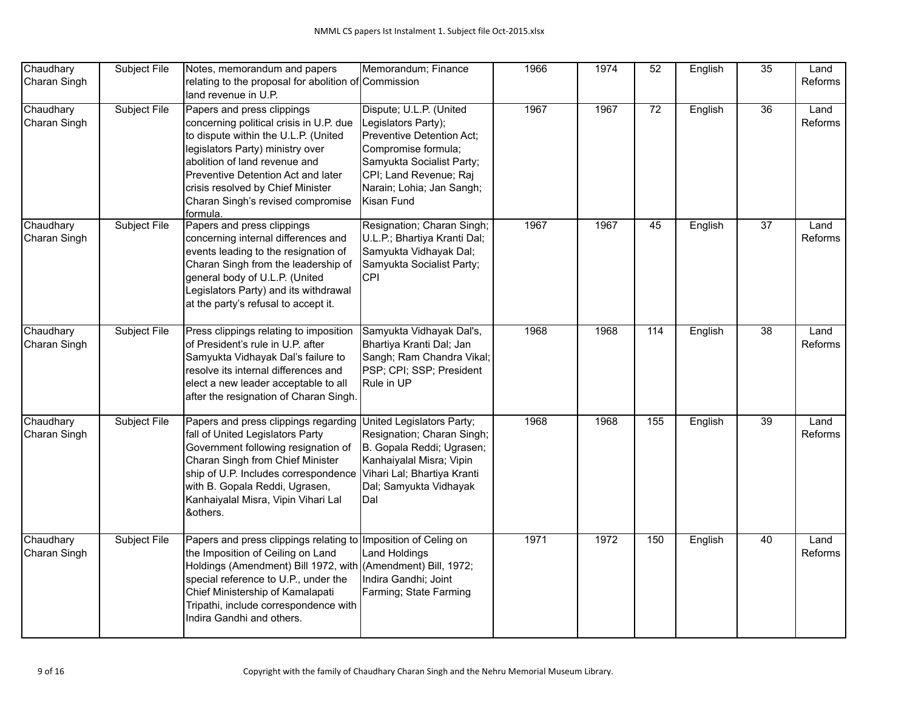| Chaudhary<br>Charan Singh | Subject File        | Notes, memorandum and papers<br>relating to the proposal for abolition of Commission<br>land revenue in U.P.                                                                                                                                                                                                          | Memorandum; Finance                                                                                                                                                                                  | 1966 | 1974 | 52               | English | 35              | Land<br>Reforms |
|---------------------------|---------------------|-----------------------------------------------------------------------------------------------------------------------------------------------------------------------------------------------------------------------------------------------------------------------------------------------------------------------|------------------------------------------------------------------------------------------------------------------------------------------------------------------------------------------------------|------|------|------------------|---------|-----------------|-----------------|
| Chaudhary<br>Charan Singh | Subject File        | Papers and press clippings<br>concerning political crisis in U.P. due<br>to dispute within the U.L.P. (United<br>legislators Party) ministry over<br>abolition of land revenue and<br>Preventive Detention Act and later<br>crisis resolved by Chief Minister<br>Charan Singh's revised compromise<br>formula.        | Dispute; U.L.P. (United<br>Legislators Party);<br>Preventive Detention Act;<br>Compromise formula;<br>Samyukta Socialist Party;<br>CPI; Land Revenue; Raj<br>Narain; Lohia; Jan Sangh;<br>Kisan Fund | 1967 | 1967 | $\overline{72}$  | English | 36              | Land<br>Reforms |
| Chaudhary<br>Charan Singh | Subject File        | Papers and press clippings<br>concerning internal differences and<br>events leading to the resignation of<br>Charan Singh from the leadership of<br>general body of U.L.P. (United<br>Legislators Party) and its withdrawal<br>at the party's refusal to accept it.                                                   | Resignation; Charan Singh;<br>U.L.P.; Bhartiya Kranti Dal;<br>Samyukta Vidhayak Dal;<br>Samyukta Socialist Party;<br><b>CPI</b>                                                                      | 1967 | 1967 | 45               | English | $\overline{37}$ | Land<br>Reforms |
| Chaudhary<br>Charan Singh | Subject File        | Press clippings relating to imposition<br>of President's rule in U.P. after<br>Samyukta Vidhayak Dal's failure to<br>resolve its internal differences and<br>elect a new leader acceptable to all<br>after the resignation of Charan Singh.                                                                           | Samyukta Vidhayak Dal's,<br>Bhartiya Kranti Dal; Jan<br>Sangh; Ram Chandra Vikal;<br>PSP; CPI; SSP; President<br>Rule in UP                                                                          | 1968 | 1968 | 114              | English | $\overline{38}$ | Land<br>Reforms |
| Chaudhary<br>Charan Singh | Subject File        | Papers and press clippings regarding United Legislators Party;<br>fall of United Legislators Party<br>Government following resignation of<br>Charan Singh from Chief Minister<br>ship of U.P. Includes correspondence<br>with B. Gopala Reddi, Ugrasen,<br>Kanhaiyalal Misra, Vipin Vihari Lal<br>&others.            | Resignation; Charan Singh;<br>B. Gopala Reddi; Ugrasen;<br>Kanhaiyalal Misra; Vipin<br>Vihari Lal; Bhartiya Kranti<br>Dal; Samyukta Vidhayak<br>Dal                                                  | 1968 | 1968 | $\overline{155}$ | English | 39              | Land<br>Reforms |
| Chaudhary<br>Charan Singh | <b>Subject File</b> | Papers and press clippings relating to Imposition of Celing on<br>the Imposition of Ceiling on Land<br>Holdings (Amendment) Bill 1972, with (Amendment) Bill, 1972;<br>special reference to U.P., under the<br>Chief Ministership of Kamalapati<br>Tripathi, include correspondence with<br>Indira Gandhi and others. | <b>Land Holdings</b><br>Indira Gandhi; Joint<br>Farming; State Farming                                                                                                                               | 1971 | 1972 | 150              | English | 40              | Land<br>Reforms |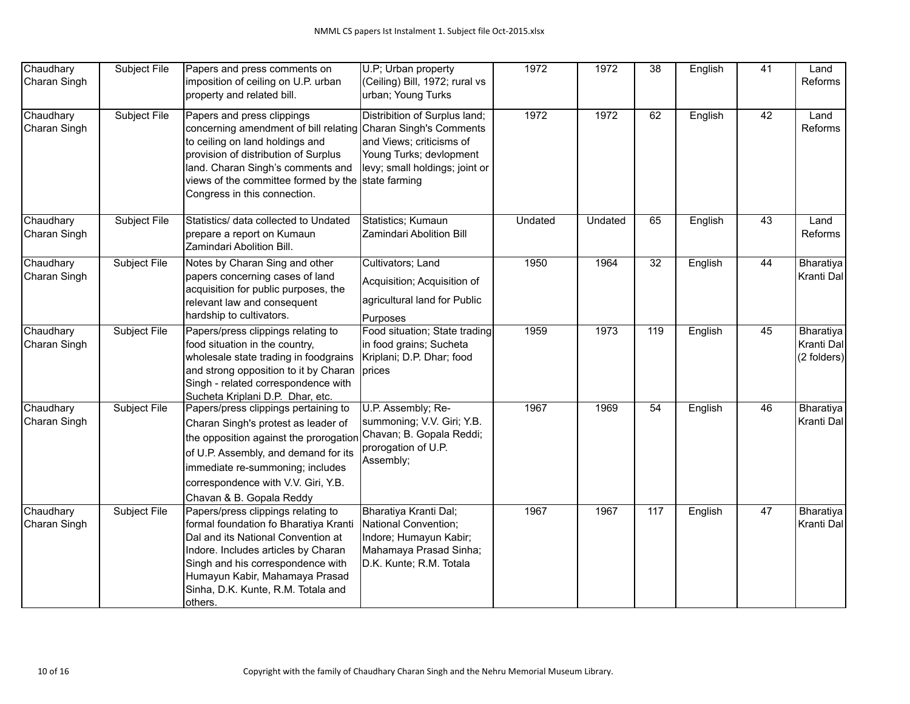| Chaudhary<br>Charan Singh | Subject File | Papers and press comments on<br>imposition of ceiling on U.P. urban<br>property and related bill.                                                                                                                                                                                   | U.P; Urban property<br>(Ceiling) Bill, 1972; rural vs<br>urban; Young Turks                                                             | 1972    | 1972    | $\overline{38}$  | English | $\overline{41}$ | Land<br>Reforms                        |
|---------------------------|--------------|-------------------------------------------------------------------------------------------------------------------------------------------------------------------------------------------------------------------------------------------------------------------------------------|-----------------------------------------------------------------------------------------------------------------------------------------|---------|---------|------------------|---------|-----------------|----------------------------------------|
| Chaudhary<br>Charan Singh | Subject File | Papers and press clippings<br>concerning amendment of bill relating Charan Singh's Comments<br>to ceiling on land holdings and<br>provision of distribution of Surplus<br>land. Charan Singh's comments and<br>views of the committee formed by the<br>Congress in this connection. | Distribition of Surplus land;<br>and Views; criticisms of<br>Young Turks; devlopment<br>levy; small holdings; joint or<br>state farming | 1972    | 1972    | $\overline{62}$  | English | 42              | Land<br>Reforms                        |
| Chaudhary<br>Charan Singh | Subject File | Statistics/ data collected to Undated<br>prepare a report on Kumaun<br>Zamindari Abolition Bill.                                                                                                                                                                                    | Statistics; Kumaun<br>Zamindari Abolition Bill                                                                                          | Undated | Undated | 65               | English | 43              | Land<br>Reforms                        |
| Chaudhary<br>Charan Singh | Subject File | Notes by Charan Sing and other<br>papers concerning cases of land<br>acquisition for public purposes, the<br>relevant law and consequent<br>hardship to cultivators.                                                                                                                | Cultivators; Land<br>Acquisition; Acquisition of<br>agricultural land for Public<br>Purposes                                            | 1950    | 1964    | 32               | English | 44              | Bharatiya<br>Kranti Dal                |
| Chaudhary<br>Charan Singh | Subject File | Papers/press clippings relating to<br>food situation in the country,<br>wholesale state trading in foodgrains<br>and strong opposition to it by Charan<br>Singh - related correspondence with<br>Sucheta Kriplani D.P. Dhar, etc.                                                   | Food situation; State trading<br>in food grains; Sucheta<br>Kriplani; D.P. Dhar; food<br> prices                                        | 1959    | 1973    | 119              | English | 45              | Bharatiya<br>Kranti Dal<br>(2 folders) |
| Chaudhary<br>Charan Singh | Subject File | Papers/press clippings pertaining to<br>Charan Singh's protest as leader of<br>the opposition against the prorogation<br>of U.P. Assembly, and demand for its<br>immediate re-summoning; includes<br>correspondence with V.V. Giri, Y.B.<br>Chavan & B. Gopala Reddy                | U.P. Assembly; Re-<br>summoning; V.V. Giri; Y.B.<br>Chavan; B. Gopala Reddi;<br>prorogation of U.P.<br>Assembly;                        | 1967    | 1969    | 54               | English | 46              | Bharatiya<br>Kranti Dal                |
| Chaudhary<br>Charan Singh | Subject File | Papers/press clippings relating to<br>formal foundation fo Bharatiya Kranti<br>Dal and its National Convention at<br>Indore. Includes articles by Charan<br>Singh and his correspondence with<br>Humayun Kabir, Mahamaya Prasad<br>Sinha, D.K. Kunte, R.M. Totala and<br>others.    | Bharatiya Kranti Dal;<br>National Convention;<br>Indore; Humayun Kabir;<br>Mahamaya Prasad Sinha;<br>D.K. Kunte; R.M. Totala            | 1967    | 1967    | $\overline{117}$ | English | $\overline{47}$ | Bharatiya<br>Kranti Dal                |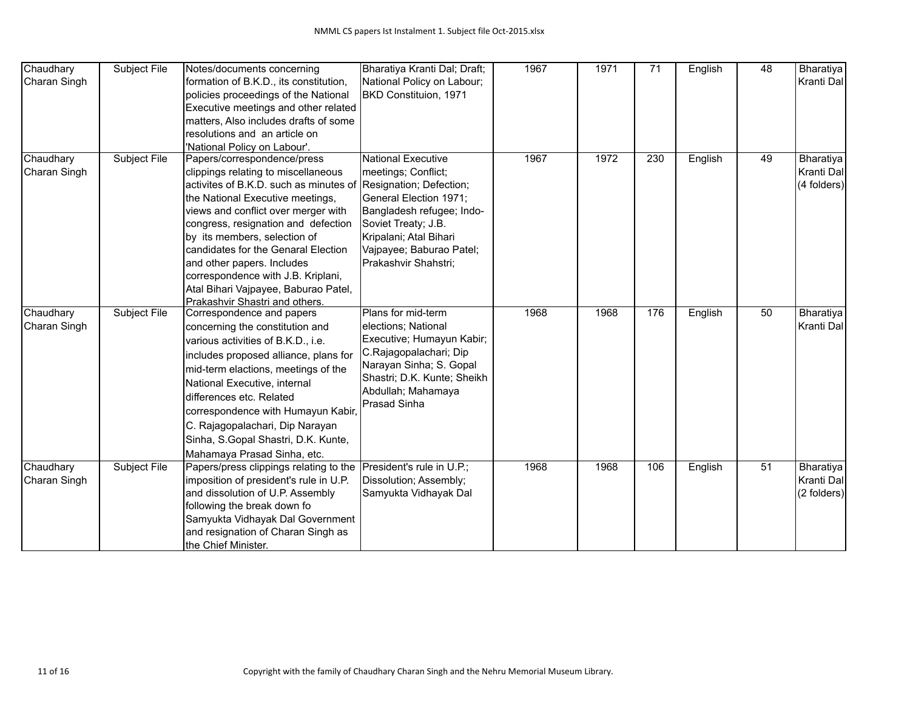| Chaudhary                 | Subject File        | Notes/documents concerning                                  | Bharatiya Kranti Dal; Draft; | 1967 | 1971 | $\overline{71}$ | English | 48 | Bharatiya               |
|---------------------------|---------------------|-------------------------------------------------------------|------------------------------|------|------|-----------------|---------|----|-------------------------|
| Charan Singh              |                     | formation of B.K.D., its constitution,                      | National Policy on Labour;   |      |      |                 |         |    | Kranti Dal              |
|                           |                     |                                                             | BKD Constituion, 1971        |      |      |                 |         |    |                         |
|                           |                     | policies proceedings of the National                        |                              |      |      |                 |         |    |                         |
|                           |                     | Executive meetings and other related                        |                              |      |      |                 |         |    |                         |
|                           |                     | matters, Also includes drafts of some                       |                              |      |      |                 |         |    |                         |
|                           |                     | resolutions and an article on                               |                              |      |      |                 |         |    |                         |
|                           | Subject File        | 'National Policy on Labour'.                                | <b>National Executive</b>    | 1967 | 1972 | 230             |         | 49 |                         |
| Chaudhary<br>Charan Singh |                     | Papers/correspondence/press                                 | meetings; Conflict;          |      |      |                 | English |    | Bharatiya<br>Kranti Dal |
|                           |                     | clippings relating to miscellaneous                         |                              |      |      |                 |         |    |                         |
|                           |                     | activites of B.K.D. such as minutes of                      | Resignation; Defection;      |      |      |                 |         |    | (4 folders)             |
|                           |                     | the National Executive meetings,                            | General Election 1971;       |      |      |                 |         |    |                         |
|                           |                     | views and conflict over merger with                         | Bangladesh refugee; Indo-    |      |      |                 |         |    |                         |
|                           |                     | congress, resignation and defection                         | Soviet Treaty; J.B.          |      |      |                 |         |    |                         |
|                           |                     | by its members, selection of                                | Kripalani; Atal Bihari       |      |      |                 |         |    |                         |
|                           |                     | candidates for the Genaral Election                         | Vajpayee; Baburao Patel;     |      |      |                 |         |    |                         |
|                           |                     | and other papers. Includes                                  | Prakashvir Shahstri;         |      |      |                 |         |    |                         |
|                           |                     | correspondence with J.B. Kriplani,                          |                              |      |      |                 |         |    |                         |
|                           |                     | Atal Bihari Vajpayee, Baburao Patel,                        |                              |      |      |                 |         |    |                         |
| Chaudhary                 | <b>Subject File</b> | Prakashvir Shastri and others.<br>Correspondence and papers | Plans for mid-term           | 1968 | 1968 | 176             | English | 50 | Bharatiya               |
| Charan Singh              |                     | concerning the constitution and                             | elections; National          |      |      |                 |         |    | Kranti Dal              |
|                           |                     |                                                             | Executive; Humayun Kabir;    |      |      |                 |         |    |                         |
|                           |                     | various activities of B.K.D., i.e.                          | C.Rajagopalachari; Dip       |      |      |                 |         |    |                         |
|                           |                     | includes proposed alliance, plans for                       | Narayan Sinha; S. Gopal      |      |      |                 |         |    |                         |
|                           |                     | mid-term elactions, meetings of the                         | Shastri; D.K. Kunte; Sheikh  |      |      |                 |         |    |                         |
|                           |                     | National Executive, internal                                | Abdullah; Mahamaya           |      |      |                 |         |    |                         |
|                           |                     | differences etc. Related                                    | Prasad Sinha                 |      |      |                 |         |    |                         |
|                           |                     | correspondence with Humayun Kabir,                          |                              |      |      |                 |         |    |                         |
|                           |                     | C. Rajagopalachari, Dip Narayan                             |                              |      |      |                 |         |    |                         |
|                           |                     | Sinha, S.Gopal Shastri, D.K. Kunte,                         |                              |      |      |                 |         |    |                         |
|                           |                     | Mahamaya Prasad Sinha, etc.                                 |                              |      |      |                 |         |    |                         |
| Chaudhary                 | <b>Subject File</b> | Papers/press clippings relating to the                      | President's rule in U.P.;    | 1968 | 1968 | 106             | English | 51 | Bharatiya               |
| Charan Singh              |                     | imposition of president's rule in U.P.                      | Dissolution; Assembly;       |      |      |                 |         |    | Kranti Dal              |
|                           |                     | and dissolution of U.P. Assembly                            | Samyukta Vidhayak Dal        |      |      |                 |         |    | (2 folders)             |
|                           |                     | following the break down fo                                 |                              |      |      |                 |         |    |                         |
|                           |                     | Samyukta Vidhayak Dal Government                            |                              |      |      |                 |         |    |                         |
|                           |                     | and resignation of Charan Singh as                          |                              |      |      |                 |         |    |                         |
|                           |                     | the Chief Minister.                                         |                              |      |      |                 |         |    |                         |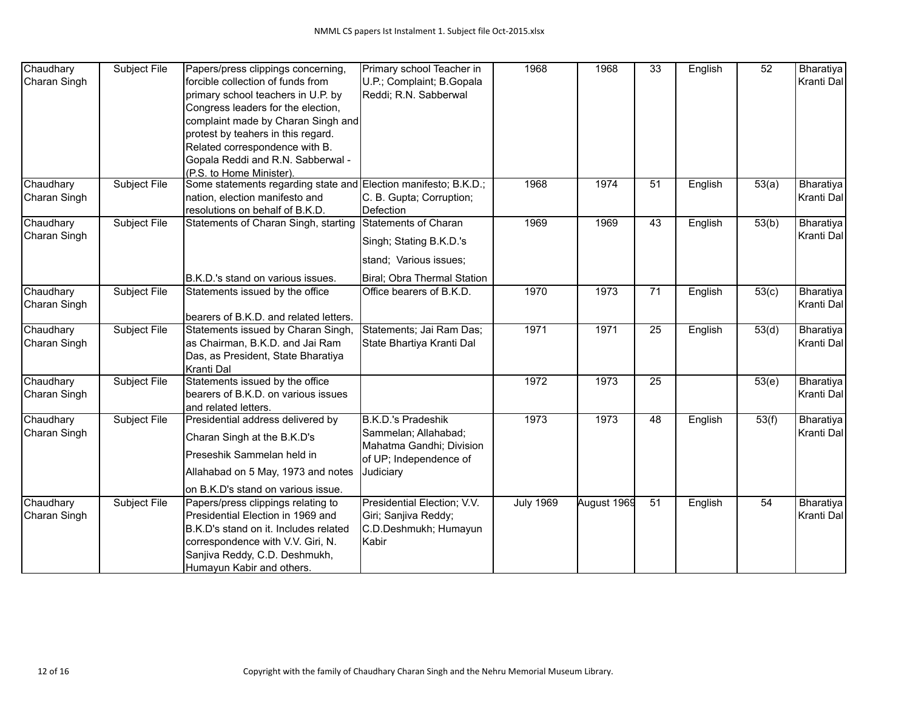| Chaudhary                 | Subject File        | Papers/press clippings concerning,                              | Primary school Teacher in                        | 1968             | 1968        | $\overline{33}$ | English | $\overline{52}$    | Bharatiya               |
|---------------------------|---------------------|-----------------------------------------------------------------|--------------------------------------------------|------------------|-------------|-----------------|---------|--------------------|-------------------------|
| Charan Singh              |                     | forcible collection of funds from                               | U.P.; Complaint; B.Gopala                        |                  |             |                 |         |                    | Kranti Dal              |
|                           |                     | primary school teachers in U.P. by                              | Reddi; R.N. Sabberwal                            |                  |             |                 |         |                    |                         |
|                           |                     | Congress leaders for the election,                              |                                                  |                  |             |                 |         |                    |                         |
|                           |                     | complaint made by Charan Singh and                              |                                                  |                  |             |                 |         |                    |                         |
|                           |                     | protest by teahers in this regard.                              |                                                  |                  |             |                 |         |                    |                         |
|                           |                     | Related correspondence with B.                                  |                                                  |                  |             |                 |         |                    |                         |
|                           |                     | Gopala Reddi and R.N. Sabberwal -                               |                                                  |                  |             |                 |         |                    |                         |
|                           |                     | (P.S. to Home Minister).                                        |                                                  |                  |             |                 |         |                    |                         |
| Chaudhary                 | Subject File        | Some statements regarding state and Election manifesto; B.K.D.; |                                                  | 1968             | 1974        | 51              | English | 53(a)              | Bharatiya               |
| Charan Singh              |                     | nation, election manifesto and                                  | C. B. Gupta; Corruption;                         |                  |             |                 |         |                    | Kranti Dal              |
|                           |                     | resolutions on behalf of B.K.D.                                 | Defection                                        |                  |             |                 |         |                    |                         |
| Chaudhary                 | Subject File        | Statements of Charan Singh, starting                            | Statements of Charan                             | 1969             | 1969        | 43              | English | 53(b)              | Bharatiya               |
| Charan Singh              |                     |                                                                 | Singh; Stating B.K.D.'s                          |                  |             |                 |         |                    | Kranti Dal              |
|                           |                     |                                                                 | stand; Various issues;                           |                  |             |                 |         |                    |                         |
|                           |                     | B.K.D.'s stand on various issues.                               | Biral; Obra Thermal Station                      |                  |             |                 |         |                    |                         |
| Chaudhary<br>Charan Singh | Subject File        | Statements issued by the office                                 | Office bearers of B.K.D.                         | 1970             | 1973        | 71              | English | 53(c)              | Bharatiya<br>Kranti Dal |
|                           |                     | bearers of B.K.D. and related letters.                          |                                                  |                  |             |                 |         |                    |                         |
| Chaudhary                 | Subject File        | Statements issued by Charan Singh,                              | Statements; Jai Ram Das;                         | 1971             | 1971        | $\overline{25}$ | English | $\overline{53(d)}$ | Bharatiya               |
| Charan Singh              |                     | as Chairman, B.K.D. and Jai Ram                                 | State Bhartiya Kranti Dal                        |                  |             |                 |         |                    | Kranti Dal              |
|                           |                     | Das, as President, State Bharatiya                              |                                                  |                  |             |                 |         |                    |                         |
|                           |                     | Kranti Dal                                                      |                                                  |                  |             |                 |         |                    |                         |
| Chaudhary                 | Subject File        | Statements issued by the office                                 |                                                  | 1972             | 1973        | $\overline{25}$ |         | 53(e)              | Bharatiya               |
| Charan Singh              |                     | bearers of B.K.D. on various issues                             |                                                  |                  |             |                 |         |                    | Kranti Dal              |
|                           |                     | and related letters.                                            |                                                  |                  |             |                 |         |                    |                         |
| Chaudhary                 | Subject File        | Presidential address delivered by                               | <b>B.K.D.'s Pradeshik</b>                        | 1973             | 1973        | 48              | English | 53(f)              | Bharatiya               |
| Charan Singh              |                     | Charan Singh at the B.K.D's                                     | Sammelan; Allahabad;<br>Mahatma Gandhi; Division |                  |             |                 |         |                    | Kranti Dal              |
|                           |                     | Preseshik Sammelan held in                                      | of UP; Independence of                           |                  |             |                 |         |                    |                         |
|                           |                     | Allahabad on 5 May, 1973 and notes                              | Judiciary                                        |                  |             |                 |         |                    |                         |
|                           |                     | on B.K.D's stand on various issue.                              |                                                  |                  |             |                 |         |                    |                         |
| Chaudhary                 | <b>Subject File</b> | Papers/press clippings relating to                              | Presidential Election; V.V.                      | <b>July 1969</b> | August 1969 | $\overline{51}$ | English | 54                 | Bharatiya               |
| Charan Singh              |                     | Presidential Election in 1969 and                               | Giri; Sanjiva Reddy;                             |                  |             |                 |         |                    | Kranti Dal              |
|                           |                     | B.K.D's stand on it. Includes related                           | C.D.Deshmukh; Humayun                            |                  |             |                 |         |                    |                         |
|                           |                     | correspondence with V.V. Giri, N.                               | Kabir                                            |                  |             |                 |         |                    |                         |
|                           |                     | Sanjiva Reddy, C.D. Deshmukh,                                   |                                                  |                  |             |                 |         |                    |                         |
|                           |                     | Humayun Kabir and others.                                       |                                                  |                  |             |                 |         |                    |                         |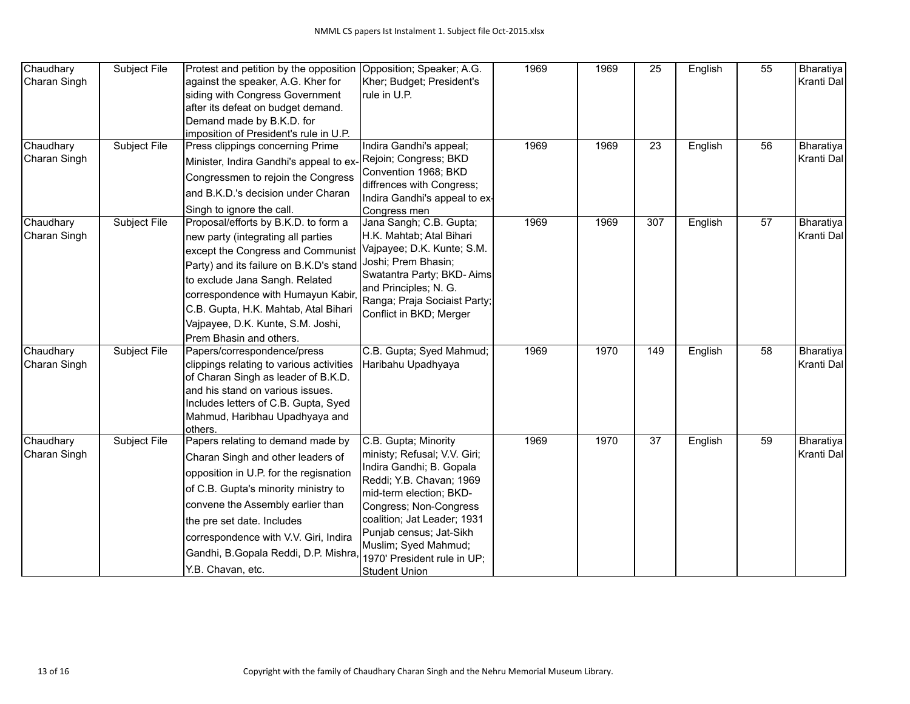| Chaudhary<br>Charan Singh<br>Chaudhary | Subject File<br><b>Subject File</b> | Protest and petition by the opposition<br>against the speaker, A.G. Kher for<br>siding with Congress Government<br>after its defeat on budget demand.<br>Demand made by B.K.D. for<br>imposition of President's rule in U.P.<br>Press clippings concerning Prime                                                                          | Opposition; Speaker; A.G.<br>Kher; Budget; President's<br>rule in U.P.<br>Indira Gandhi's appeal;                                                                                                                                                                                                          | 1969<br>1969 | 1969<br>1969 | 25<br>23 | English<br>English | $\overline{55}$<br>56 | Bharatiya<br>Kranti Dal<br>Bharatiya |
|----------------------------------------|-------------------------------------|-------------------------------------------------------------------------------------------------------------------------------------------------------------------------------------------------------------------------------------------------------------------------------------------------------------------------------------------|------------------------------------------------------------------------------------------------------------------------------------------------------------------------------------------------------------------------------------------------------------------------------------------------------------|--------------|--------------|----------|--------------------|-----------------------|--------------------------------------|
| Charan Singh                           |                                     | Minister, Indira Gandhi's appeal to ex<br>Congressmen to rejoin the Congress<br>and B.K.D.'s decision under Charan<br>Singh to ignore the call.                                                                                                                                                                                           | Rejoin; Congress; BKD<br>Convention 1968; BKD<br>diffrences with Congress;<br>Indira Gandhi's appeal to ex-<br>Congress men                                                                                                                                                                                |              |              |          |                    |                       | Kranti Dal                           |
| Chaudhary<br>Charan Singh              | Subject File                        | Proposal/efforts by B.K.D. to form a<br>new party (integrating all parties<br>except the Congress and Communist<br>Party) and its failure on B.K.D's stand<br>to exclude Jana Sangh. Related<br>correspondence with Humayun Kabir<br>C.B. Gupta, H.K. Mahtab, Atal Bihari<br>Vajpayee, D.K. Kunte, S.M. Joshi,<br>Prem Bhasin and others. | Jana Sangh; C.B. Gupta;<br>H.K. Mahtab; Atal Bihari<br>Vajpayee; D.K. Kunte; S.M.<br>Joshi; Prem Bhasin;<br>Swatantra Party; BKD-Aims<br>and Principles; N. G.<br>Ranga; Praja Sociaist Party;<br>Conflict in BKD; Merger                                                                                  | 1969         | 1969         | 307      | English            | 57                    | Bharatiya<br>Kranti Dal              |
| Chaudhary<br>Charan Singh              | Subject File                        | Papers/correspondence/press<br>clippings relating to various activities<br>of Charan Singh as leader of B.K.D.<br>and his stand on various issues.<br>Includes letters of C.B. Gupta, Syed<br>Mahmud, Haribhau Upadhyaya and<br>others.                                                                                                   | C.B. Gupta; Syed Mahmud;<br>Haribahu Upadhyaya                                                                                                                                                                                                                                                             | 1969         | 1970         | 149      | English            | 58                    | Bharatiya<br>Kranti Dal              |
| Chaudhary<br>Charan Singh              | Subject File                        | Papers relating to demand made by<br>Charan Singh and other leaders of<br>opposition in U.P. for the regisnation<br>of C.B. Gupta's minority ministry to<br>convene the Assembly earlier than<br>the pre set date. Includes<br>correspondence with V.V. Giri, Indira<br>Gandhi, B.Gopala Reddi, D.P. Mishra<br>Y.B. Chavan, etc.          | C.B. Gupta; Minority<br>ministy; Refusal; V.V. Giri;<br>Indira Gandhi; B. Gopala<br>Reddi; Y.B. Chavan; 1969<br>mid-term election; BKD-<br>Congress; Non-Congress<br>coalition; Jat Leader; 1931<br>Punjab census; Jat-Sikh<br>Muslim; Syed Mahmud;<br>1970' President rule in UP;<br><b>Student Union</b> | 1969         | 1970         | 37       | English            | 59                    | Bharatiya<br>Kranti Dal              |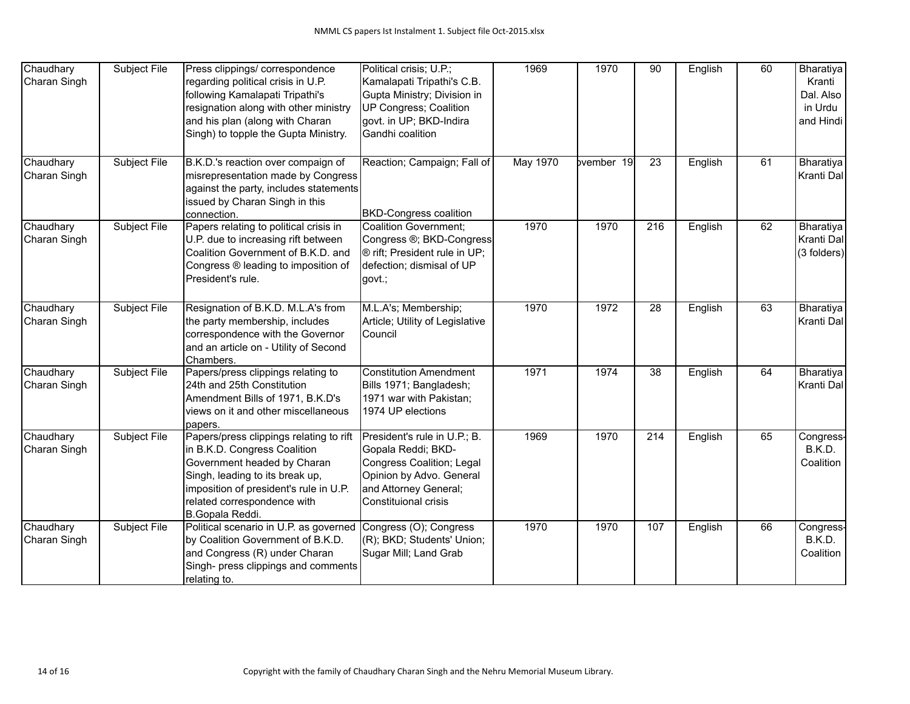| Chaudhary<br>Charan Singh | Subject File        | Press clippings/ correspondence<br>regarding political crisis in U.P.<br>following Kamalapati Tripathi's<br>resignation along with other ministry<br>and his plan (along with Charan<br>Singh) to topple the Gupta Ministry.          | Political crisis; U.P.;<br>Kamalapati Tripathi's C.B.<br>Gupta Ministry; Division in<br>UP Congress; Coalition<br>govt. in UP; BKD-Indira<br>Gandhi coalition | 1969            | 1970       | 90               | English | 60 | Bharatiya<br>Kranti<br>Dal. Also<br>in Urdu<br>and Hindi |
|---------------------------|---------------------|---------------------------------------------------------------------------------------------------------------------------------------------------------------------------------------------------------------------------------------|---------------------------------------------------------------------------------------------------------------------------------------------------------------|-----------------|------------|------------------|---------|----|----------------------------------------------------------|
| Chaudhary<br>Charan Singh | <b>Subject File</b> | B.K.D.'s reaction over compaign of<br>misrepresentation made by Congress<br>against the party, includes statements<br>issued by Charan Singh in this<br>connection.                                                                   | Reaction; Campaign; Fall of<br><b>BKD-Congress coalition</b>                                                                                                  | <b>May 1970</b> | bvember 19 | 23               | English | 61 | Bharatiya<br>Kranti Dal                                  |
| Chaudhary<br>Charan Singh | Subject File        | Papers relating to political crisis in<br>U.P. due to increasing rift between<br>Coalition Government of B.K.D. and<br>Congress ® leading to imposition of<br>President's rule.                                                       | Coalition Government;<br>Congress ®; BKD-Congress<br>® rift; President rule in UP;<br>defection; dismisal of UP<br>govt.;                                     | 1970            | 1970       | 216              | English | 62 | Bharatiya<br>Kranti Dal<br>(3 folders)                   |
| Chaudhary<br>Charan Singh | Subject File        | Resignation of B.K.D. M.L.A's from<br>the party membership, includes<br>correspondence with the Governor<br>and an article on - Utility of Second<br>Chambers.                                                                        | M.L.A's; Membership;<br>Article; Utility of Legislative<br>Council                                                                                            | 1970            | 1972       | 28               | English | 63 | Bharatiya<br>Kranti Dal                                  |
| Chaudhary<br>Charan Singh | Subject File        | Papers/press clippings relating to<br>24th and 25th Constitution<br>Amendment Bills of 1971, B.K.D's<br>views on it and other miscellaneous<br>papers.                                                                                | <b>Constitution Amendment</b><br>Bills 1971; Bangladesh;<br>1971 war with Pakistan;<br>1974 UP elections                                                      | 1971            | 1974       | 38               | English | 64 | Bharatiya<br>Kranti Dal                                  |
| Chaudhary<br>Charan Singh | Subject File        | Papers/press clippings relating to rift<br>in B.K.D. Congress Coalition<br>Government headed by Charan<br>Singh, leading to its break up,<br>imposition of president's rule in U.P.<br>related correspondence with<br>B.Gopala Reddi. | President's rule in U.P.; B.<br>Gopala Reddi; BKD-<br>Congress Coalition; Legal<br>Opinion by Advo. General<br>and Attorney General;<br>Constituional crisis  | 1969            | 1970       | $\overline{214}$ | English | 65 | Congress-<br>B.K.D.<br>Coalition                         |
| Chaudhary<br>Charan Singh | Subject File        | Political scenario in U.P. as governed<br>by Coalition Government of B.K.D.<br>and Congress (R) under Charan<br>Singh- press clippings and comments<br>relating to.                                                                   | Congress (O); Congress<br>(R); BKD; Students' Union;<br>Sugar Mill; Land Grab                                                                                 | 1970            | 1970       | 107              | English | 66 | Congress-<br>B.K.D.<br>Coalition                         |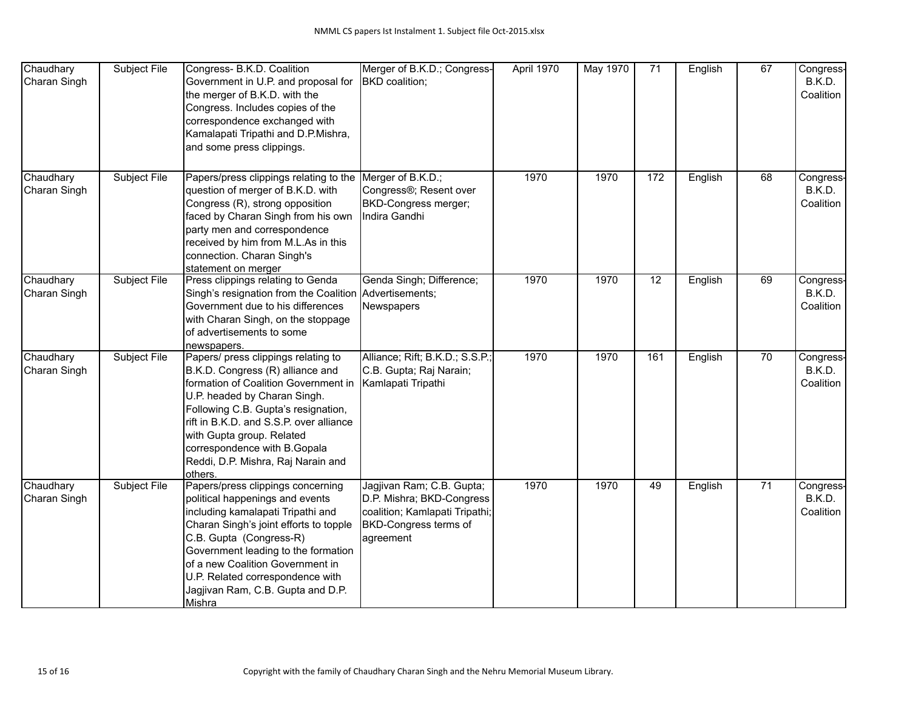| Chaudhary<br>Charan Singh | Subject File | Congress- B.K.D. Coalition<br>Government in U.P. and proposal for<br>the merger of B.K.D. with the<br>Congress. Includes copies of the<br>correspondence exchanged with<br>Kamalapati Tripathi and D.P.Mishra,<br>and some press clippings.                                                                                                      | Merger of B.K.D.; Congress-<br>BKD coalition;                                                                                  | April 1970 | <b>May 1970</b> | $\overline{71}$ | English | 67              | Congress-<br>B.K.D.<br>Coalition |
|---------------------------|--------------|--------------------------------------------------------------------------------------------------------------------------------------------------------------------------------------------------------------------------------------------------------------------------------------------------------------------------------------------------|--------------------------------------------------------------------------------------------------------------------------------|------------|-----------------|-----------------|---------|-----------------|----------------------------------|
| Chaudhary<br>Charan Singh | Subject File | Papers/press clippings relating to the<br>question of merger of B.K.D. with<br>Congress (R), strong opposition<br>faced by Charan Singh from his own<br>party men and correspondence<br>received by him from M.L.As in this<br>connection. Charan Singh's<br>statement on merger                                                                 | Merger of B.K.D.;<br>Congress®; Resent over<br>BKD-Congress merger;<br>Indira Gandhi                                           | 1970       | 1970            | $\frac{1}{172}$ | English | 68              | Congress-<br>B.K.D.<br>Coalition |
| Chaudhary<br>Charan Singh | Subject File | Press clippings relating to Genda<br>Singh's resignation from the Coalition Advertisements;<br>Government due to his differences<br>with Charan Singh, on the stoppage<br>of advertisements to some<br>newspapers.                                                                                                                               | Genda Singh; Difference;<br>Newspapers                                                                                         | 1970       | 1970            | 12              | English | 69              | Congress-<br>B.K.D.<br>Coalition |
| Chaudhary<br>Charan Singh | Subject File | Papers/ press clippings relating to<br>B.K.D. Congress (R) alliance and<br>formation of Coalition Government in<br>U.P. headed by Charan Singh.<br>Following C.B. Gupta's resignation,<br>rift in B.K.D. and S.S.P. over alliance<br>with Gupta group. Related<br>correspondence with B. Gopala<br>Reddi, D.P. Mishra, Raj Narain and<br>others. | Alliance; Rift; B.K.D.; S.S.P.;<br>C.B. Gupta; Raj Narain;<br>Kamlapati Tripathi                                               | 1970       | 1970            | 161             | English | $\overline{70}$ | Congress-<br>B.K.D.<br>Coalition |
| Chaudhary<br>Charan Singh | Subject File | Papers/press clippings concerning<br>political happenings and events<br>including kamalapati Tripathi and<br>Charan Singh's joint efforts to topple<br>C.B. Gupta (Congress-R)<br>Government leading to the formation<br>of a new Coalition Government in<br>U.P. Related correspondence with<br>Jagjivan Ram, C.B. Gupta and D.P.<br>Mishra     | Jagjivan Ram; C.B. Gupta;<br>D.P. Mishra; BKD-Congress<br>coalition; Kamlapati Tripathi;<br>BKD-Congress terms of<br>agreement | 1970       | 1970            | 49              | English | $\overline{71}$ | Congress-<br>B.K.D.<br>Coalition |